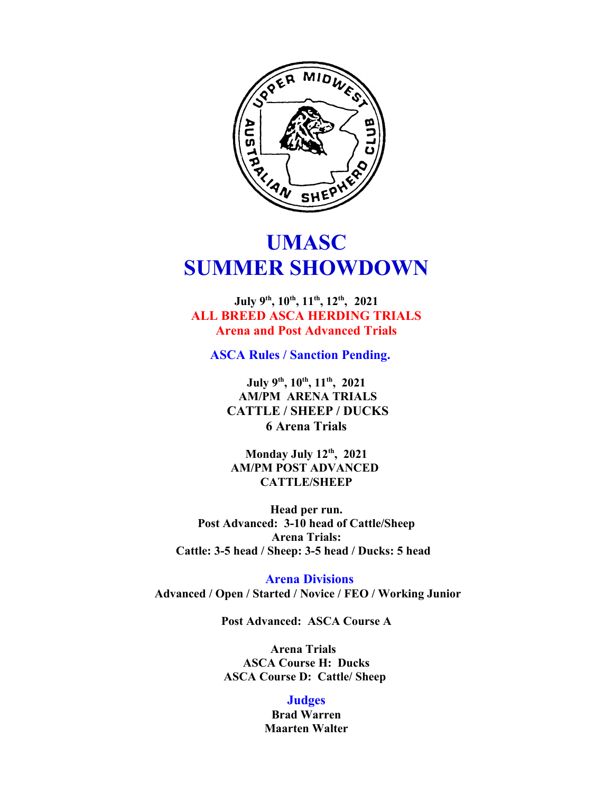

# **UMASC SUMMER SHOWDOWN**

**July 9th, 10th, 11th, 12th , 2021 ALL BREED ASCA HERDING TRIALS Arena and Post Advanced Trials**

**ASCA Rules / Sanction Pending.** 

**July 9th, 10th, 11th, 2021 AM/PM ARENA TRIALS CATTLE / SHEEP / DUCKS 6 Arena Trials**

**Monday July 12th, 2021 AM/PM POST ADVANCED CATTLE/SHEEP**

**Head per run. Post Advanced: 3-10 head of Cattle/Sheep Arena Trials: Cattle: 3-5 head / Sheep: 3-5 head / Ducks: 5 head** 

 **Arena Divisions Advanced / Open / Started / Novice / FEO / Working Junior**

**Post Advanced: ASCA Course A**

**Arena Trials ASCA Course H: Ducks ASCA Course D: Cattle/ Sheep** 

## **Judges**

**Brad Warren Maarten Walter**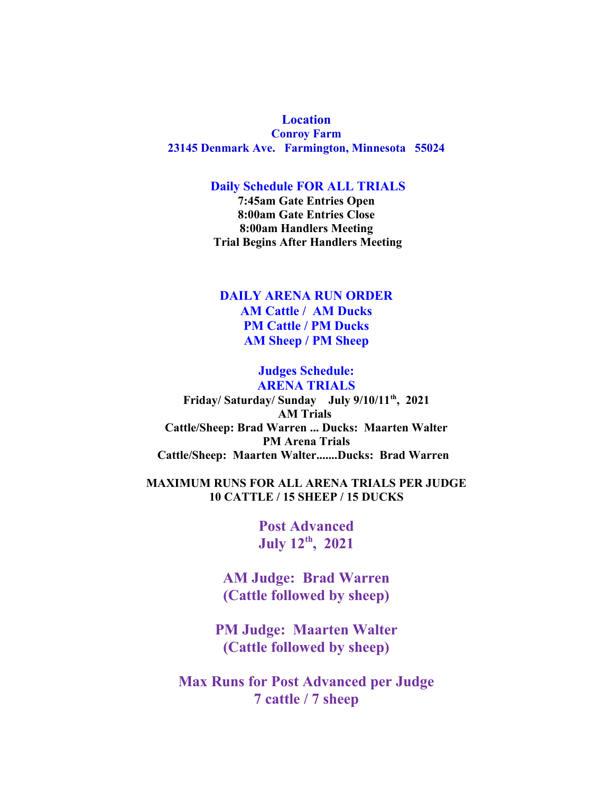**Location Conroy Farm 23145 Denmark Ave. Farmington, Minnesota 55024**

#### **Daily Schedule FOR ALL TRIALS**

**7:45am Gate Entries Open 8:00am Gate Entries Close 8:00am Handlers Meeting Trial Begins After Handlers Meeting**

## **DAILY ARENA RUN ORDER AM Cattle / AM Ducks PM Cattle / PM Ducks AM Sheep / PM Sheep**

## **Judges Schedule: ARENA TRIALS Friday/ Saturday/ Sunday July 9/10/11th, 2021 AM Trials Cattle/Sheep: Brad Warren ... Ducks: Maarten Walter PM Arena Trials Cattle/Sheep: Maarten Walter.......Ducks: Brad Warren**

### **MAXIMUM RUNS FOR ALL ARENA TRIALS PER JUDGE 10 CATTLE / 15 SHEEP / 15 DUCKS**

**Post Advanced July 12th, 2021**

**AM Judge: Brad Warren (Cattle followed by sheep)**

**PM Judge: Maarten Walter (Cattle followed by sheep)**

**Max Runs for Post Advanced per Judge 7 cattle / 7 sheep**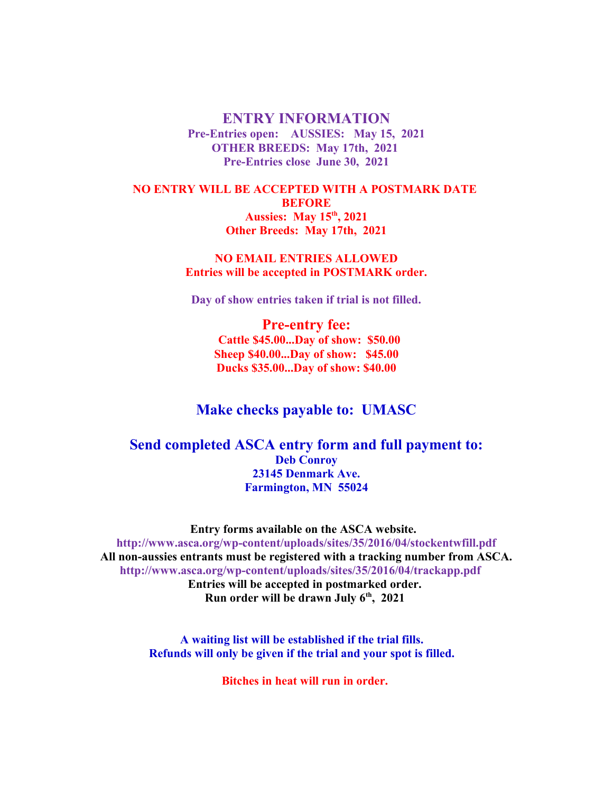**ENTRY INFORMATION Pre-Entries open: AUSSIES: May 15, 2021 OTHER BREEDS: May 17th, 2021 Pre-Entries close June 30, 2021**

**NO ENTRY WILL BE ACCEPTED WITH A POSTMARK DATE BEFORE Aussies: May 15th, 2021 Other Breeds: May 17th, 2021**

> **NO EMAIL ENTRIES ALLOWED Entries will be accepted in POSTMARK order.**

**Day of show entries taken if trial is not filled.**

**Pre-entry fee: Cattle \$45.00...Day of show: \$50.00 Sheep \$40.00...Day of show: \$45.00 Ducks \$35.00...Day of show: \$40.00**

## **Make checks payable to: UMASC**

## **Send completed ASCA entry form and full payment to: Deb Conroy 23145 Denmark Ave. Farmington, MN 55024**

**Entry forms available on the ASCA website. http://www.asca.org/wp-content/uploads/sites/35/2016/04/stockentwfill.pdf All non-aussies entrants must be registered with a tracking number from ASCA. http://www.asca.org/wp-content/uploads/sites/35/2016/04/trackapp.pdf Entries will be accepted in postmarked order. Run order will be drawn July 6th, 2021** 

> **A waiting list will be established if the trial fills. Refunds will only be given if the trial and your spot is filled.**

> > **Bitches in heat will run in order.**